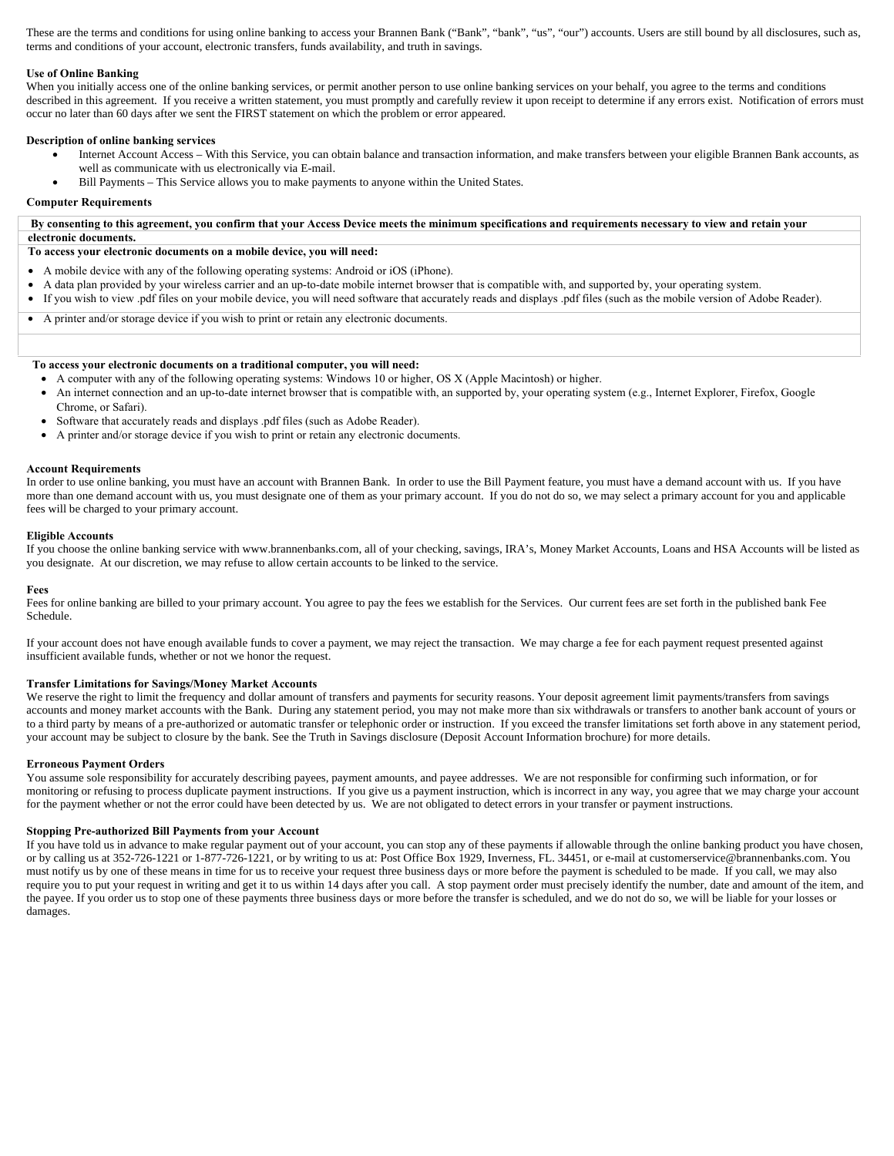These are the terms and conditions for using online banking to access your Brannen Bank ("Bank", "bank", "us", "our") accounts. Users are still bound by all disclosures, such as, terms and conditions of your account, electronic transfers, funds availability, and truth in savings.

## **Use of Online Banking**

When you initially access one of the online banking services, or permit another person to use online banking services on your behalf, you agree to the terms and conditions described in this agreement. If you receive a written statement, you must promptly and carefully review it upon receipt to determine if any errors exist. Notification of errors must occur no later than 60 days after we sent the FIRST statement on which the problem or error appeared.

## **Description of online banking services**

- Internet Account Access With this Service, you can obtain balance and transaction information, and make transfers between your eligible Brannen Bank accounts, as well as communicate with us electronically via E-mail.
- Bill Payments This Service allows you to make payments to anyone within the United States.

## **Computer Requirements**

**By consenting to this agreement, you confirm that your Access Device meets the minimum specifications and requirements necessary to view and retain your electronic documents.** 

# **To access your electronic documents on a mobile device, you will need:**

- A mobile device with any of the following operating systems: Android or iOS (iPhone).
- A data plan provided by your wireless carrier and an up-to-date mobile internet browser that is compatible with, and supported by, your operating system.
- If you wish to view .pdf files on your mobile device, you will need software that accurately reads and displays .pdf files (such as the mobile version of Adobe Reader).
- A printer and/or storage device if you wish to print or retain any electronic documents.

### **To access your electronic documents on a traditional computer, you will need:**

- A computer with any of the following operating systems: Windows 10 or higher, OS X (Apple Macintosh) or higher.
- An internet connection and an up-to-date internet browser that is compatible with, an supported by, your operating system (e.g., Internet Explorer, Firefox, Google Chrome, or Safari).
- Software that accurately reads and displays .pdf files (such as Adobe Reader).
- A printer and/or storage device if you wish to print or retain any electronic documents.

### **Account Requirements**

In order to use online banking, you must have an account with Brannen Bank. In order to use the Bill Payment feature, you must have a demand account with us. If you have more than one demand account with us, you must designate one of them as your primary account. If you do not do so, we may select a primary account for you and applicable fees will be charged to your primary account.

## **Eligible Accounts**

If you choose the online banking service with www.brannenbanks.com, all of your checking, savings, IRA's, Money Market Accounts, Loans and HSA Accounts will be listed as you designate. At our discretion, we may refuse to allow certain accounts to be linked to the service.

### **Fees**

Fees for online banking are billed to your primary account. You agree to pay the fees we establish for the Services. Our current fees are set forth in the published bank Fee Schedule.

If your account does not have enough available funds to cover a payment, we may reject the transaction. We may charge a fee for each payment request presented against insufficient available funds, whether or not we honor the request.

### **Transfer Limitations for Savings/Money Market Accounts**

We reserve the right to limit the frequency and dollar amount of transfers and payments for security reasons. Your deposit agreement limit payments/transfers from savings accounts and money market accounts with the Bank. During any statement period, you may not make more than six withdrawals or transfers to another bank account of yours or to a third party by means of a pre-authorized or automatic transfer or telephonic order or instruction. If you exceed the transfer limitations set forth above in any statement period, your account may be subject to closure by the bank. See the Truth in Savings disclosure (Deposit Account Information brochure) for more details.

### **Erroneous Payment Orders**

You assume sole responsibility for accurately describing payees, payment amounts, and payee addresses. We are not responsible for confirming such information, or for monitoring or refusing to process duplicate payment instructions. If you give us a payment instruction, which is incorrect in any way, you agree that we may charge your account for the payment whether or not the error could have been detected by us. We are not obligated to detect errors in your transfer or payment instructions.

### **Stopping Pre-authorized Bill Payments from your Account**

If you have told us in advance to make regular payment out of your account, you can stop any of these payments if allowable through the online banking product you have chosen, or by calling us at 352-726-1221 or 1-877-726-1221, or by writing to us at: Post Office Box 1929, Inverness, FL. 34451, or e-mail at customerservice@brannenbanks.com. You must notify us by one of these means in time for us to receive your request three business days or more before the payment is scheduled to be made. If you call, we may also require you to put your request in writing and get it to us within 14 days after you call. A stop payment order must precisely identify the number, date and amount of the item, and the payee. If you order us to stop one of these payments three business days or more before the transfer is scheduled, and we do not do so, we will be liable for your losses or damages.